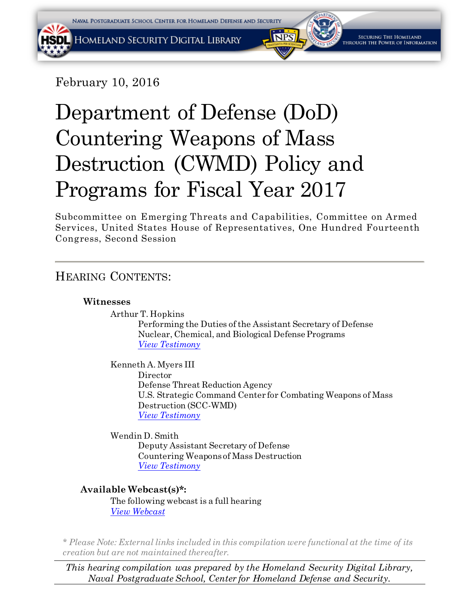February 10, 2016

# Department of Defense (DoD) Countering Weapons of Mass Destruction (CWMD) Policy and Programs for Fiscal Year 2017

Subcommittee on Emerging Threats and Capabilities, Committee on Armed Services, United States House of Representatives, One Hundred Fourteenth Congress, Second Session

# HEARING CONTENTS:

# **Witnesses**

Arthur T. Hopkins

Performing the Duties of the Assistant Secretary of Defense Nuclear, Chemical, and Biological Defense Programs *[View Testimony](#page-2-0)*

Kenneth A. Myers III Director Defense Threat Reduction Agency U.S. Strategic Command Center for Combating Weapons of Mass Destruction (SCC-WMD) *[View Testimony](#page-8-0)*

Wendin D. Smith Deputy Assistant Secretary of Defense Countering Weapons of Mass Destruction *[View Testimony](#page-25-0)*

# **Available Webcast(s)\*:**

The following webcast is a full hearing *[View Webcast](https://www.youtube.com/watch?v=Uo6Y3F__y9E)*

*\* Please Note: External links included in this compilation were functional at the time of its creation but are not maintained thereafter.*

*This hearing compilation was prepared by the Homeland Security Digital Library, Naval Postgraduate School, Center for Homeland Defense and Security.*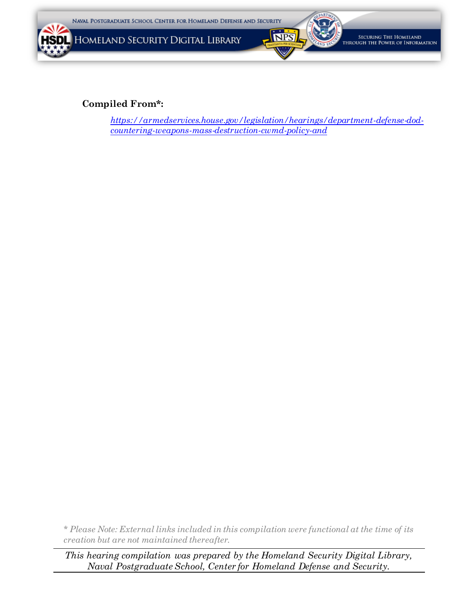



SECURING THE HOMELAND rough the Power of Information

# **Compiled From\*:**

W

HSD

*[https://armedservices.house.gov/legislation/hearings/department-defense-dod](https://armedservices.house.gov/legislation/hearings/department-defense-dod-countering-weapons-mass-destruction-cwmd-policy-and)[countering-weapons-mass-destruction-cwmd-policy-and](https://armedservices.house.gov/legislation/hearings/department-defense-dod-countering-weapons-mass-destruction-cwmd-policy-and)*

*\* Please Note: External links included in this compilation were functional at the time of its creation but are not maintained thereafter.*

*This hearing compilation was prepared by the Homeland Security Digital Library, Naval Postgraduate School, Center for Homeland Defense and Security.*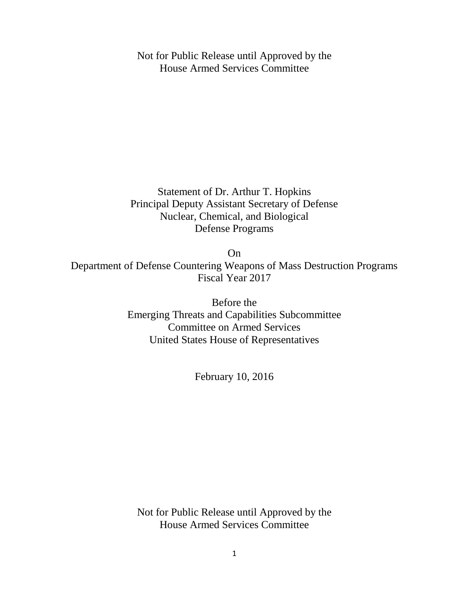<span id="page-2-0"></span>Not for Public Release until Approved by the House Armed Services Committee

Statement of Dr. Arthur T. Hopkins Principal Deputy Assistant Secretary of Defense Nuclear, Chemical, and Biological Defense Programs

On

Department of Defense Countering Weapons of Mass Destruction Programs Fiscal Year 2017

> Before the Emerging Threats and Capabilities Subcommittee Committee on Armed Services United States House of Representatives

> > February 10, 2016

Not for Public Release until Approved by the House Armed Services Committee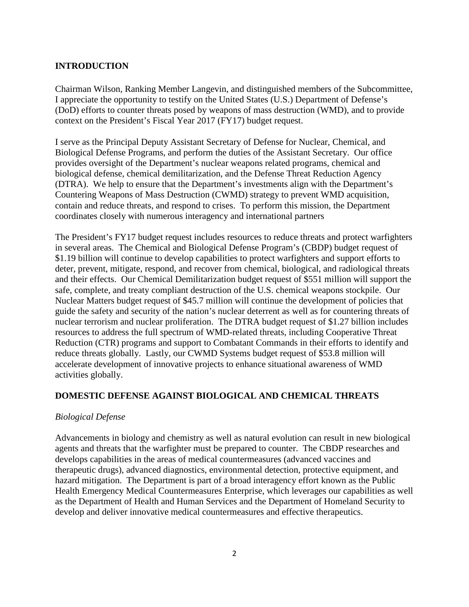#### **INTRODUCTION**

Chairman Wilson, Ranking Member Langevin, and distinguished members of the Subcommittee, I appreciate the opportunity to testify on the United States (U.S.) Department of Defense's (DoD) efforts to counter threats posed by weapons of mass destruction (WMD), and to provide context on the President's Fiscal Year 2017 (FY17) budget request.

I serve as the Principal Deputy Assistant Secretary of Defense for Nuclear, Chemical, and Biological Defense Programs, and perform the duties of the Assistant Secretary. Our office provides oversight of the Department's nuclear weapons related programs, chemical and biological defense, chemical demilitarization, and the Defense Threat Reduction Agency (DTRA). We help to ensure that the Department's investments align with the Department's Countering Weapons of Mass Destruction (CWMD) strategy to prevent WMD acquisition, contain and reduce threats, and respond to crises. To perform this mission, the Department coordinates closely with numerous interagency and international partners

The President's FY17 budget request includes resources to reduce threats and protect warfighters in several areas. The Chemical and Biological Defense Program's (CBDP) budget request of \$1.19 billion will continue to develop capabilities to protect warfighters and support efforts to deter, prevent, mitigate, respond, and recover from chemical, biological, and radiological threats and their effects. Our Chemical Demilitarization budget request of \$551 million will support the safe, complete, and treaty compliant destruction of the U.S. chemical weapons stockpile. Our Nuclear Matters budget request of \$45.7 million will continue the development of policies that guide the safety and security of the nation's nuclear deterrent as well as for countering threats of nuclear terrorism and nuclear proliferation. The DTRA budget request of \$1.27 billion includes resources to address the full spectrum of WMD-related threats, including Cooperative Threat Reduction (CTR) programs and support to Combatant Commands in their efforts to identify and reduce threats globally. Lastly, our CWMD Systems budget request of \$53.8 million will accelerate development of innovative projects to enhance situational awareness of WMD activities globally.

#### **DOMESTIC DEFENSE AGAINST BIOLOGICAL AND CHEMICAL THREATS**

#### *Biological Defense*

Advancements in biology and chemistry as well as natural evolution can result in new biological agents and threats that the warfighter must be prepared to counter. The CBDP researches and develops capabilities in the areas of medical countermeasures (advanced vaccines and therapeutic drugs), advanced diagnostics, environmental detection, protective equipment, and hazard mitigation. The Department is part of a broad interagency effort known as the Public Health Emergency Medical Countermeasures Enterprise, which leverages our capabilities as well as the Department of Health and Human Services and the Department of Homeland Security to develop and deliver innovative medical countermeasures and effective therapeutics.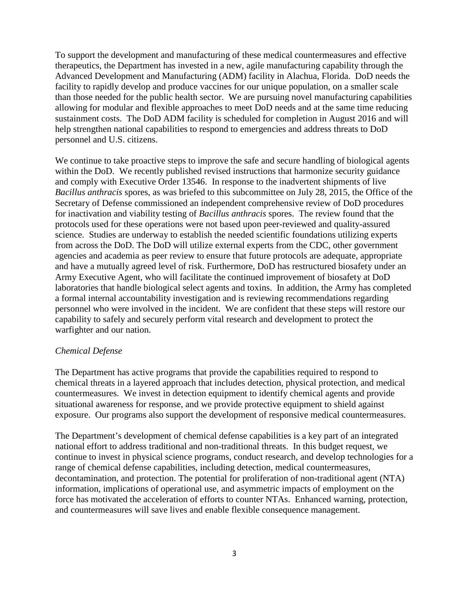To support the development and manufacturing of these medical countermeasures and effective therapeutics, the Department has invested in a new, agile manufacturing capability through the Advanced Development and Manufacturing (ADM) facility in Alachua, Florida. DoD needs the facility to rapidly develop and produce vaccines for our unique population, on a smaller scale than those needed for the public health sector. We are pursuing novel manufacturing capabilities allowing for modular and flexible approaches to meet DoD needs and at the same time reducing sustainment costs. The DoD ADM facility is scheduled for completion in August 2016 and will help strengthen national capabilities to respond to emergencies and address threats to DoD personnel and U.S. citizens.

We continue to take proactive steps to improve the safe and secure handling of biological agents within the DoD. We recently published revised instructions that harmonize security guidance and comply with Executive Order 13546. In response to the inadvertent shipments of live *Bacillus anthracis* spores, as was briefed to this subcommittee on July 28, 2015, the Office of the Secretary of Defense commissioned an independent comprehensive review of DoD procedures for inactivation and viability testing of *Bacillus anthracis* spores. The review found that the protocols used for these operations were not based upon peer-reviewed and quality-assured science. Studies are underway to establish the needed scientific foundations utilizing experts from across the DoD. The DoD will utilize external experts from the CDC, other government agencies and academia as peer review to ensure that future protocols are adequate, appropriate and have a mutually agreed level of risk. Furthermore, DoD has restructured biosafety under an Army Executive Agent, who will facilitate the continued improvement of biosafety at DoD laboratories that handle biological select agents and toxins. In addition, the Army has completed a formal internal accountability investigation and is reviewing recommendations regarding personnel who were involved in the incident. We are confident that these steps will restore our capability to safely and securely perform vital research and development to protect the warfighter and our nation.

#### *Chemical Defense*

The Department has active programs that provide the capabilities required to respond to chemical threats in a layered approach that includes detection, physical protection, and medical countermeasures. We invest in detection equipment to identify chemical agents and provide situational awareness for response, and we provide protective equipment to shield against exposure. Our programs also support the development of responsive medical countermeasures.

The Department's development of chemical defense capabilities is a key part of an integrated national effort to address traditional and non-traditional threats. In this budget request, we continue to invest in physical science programs, conduct research, and develop technologies for a range of chemical defense capabilities, including detection, medical countermeasures, decontamination, and protection. The potential for proliferation of non-traditional agent (NTA) information, implications of operational use, and asymmetric impacts of employment on the force has motivated the acceleration of efforts to counter NTAs. Enhanced warning, protection, and countermeasures will save lives and enable flexible consequence management.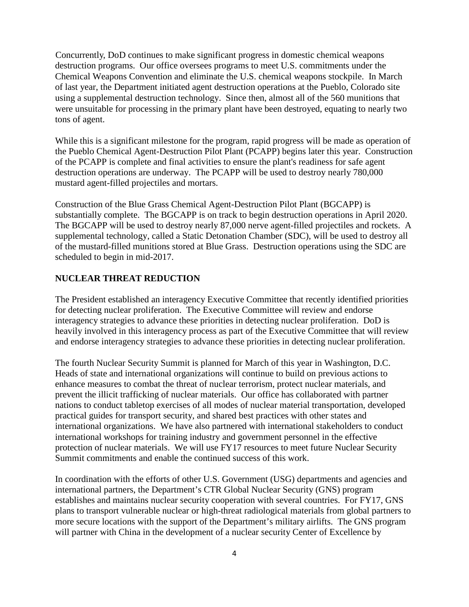Concurrently, DoD continues to make significant progress in domestic chemical weapons destruction programs. Our office oversees programs to meet U.S. commitments under the Chemical Weapons Convention and eliminate the U.S. chemical weapons stockpile. In March of last year, the Department initiated agent destruction operations at the Pueblo, Colorado site using a supplemental destruction technology. Since then, almost all of the 560 munitions that were unsuitable for processing in the primary plant have been destroyed, equating to nearly two tons of agent.

While this is a significant milestone for the program, rapid progress will be made as operation of the Pueblo Chemical Agent-Destruction Pilot Plant (PCAPP) begins later this year. Construction of the PCAPP is complete and final activities to ensure the plant's readiness for safe agent destruction operations are underway. The PCAPP will be used to destroy nearly 780,000 mustard agent-filled projectiles and mortars.

Construction of the Blue Grass Chemical Agent-Destruction Pilot Plant (BGCAPP) is substantially complete. The BGCAPP is on track to begin destruction operations in April 2020. The BGCAPP will be used to destroy nearly 87,000 nerve agent-filled projectiles and rockets. A supplemental technology, called a Static Detonation Chamber (SDC), will be used to destroy all of the mustard-filled munitions stored at Blue Grass. Destruction operations using the SDC are scheduled to begin in mid-2017.

### **NUCLEAR THREAT REDUCTION**

The President established an interagency Executive Committee that recently identified priorities for detecting nuclear proliferation. The Executive Committee will review and endorse interagency strategies to advance these priorities in detecting nuclear proliferation. DoD is heavily involved in this interagency process as part of the Executive Committee that will review and endorse interagency strategies to advance these priorities in detecting nuclear proliferation.

The fourth Nuclear Security Summit is planned for March of this year in Washington, D.C. Heads of state and international organizations will continue to build on previous actions to enhance measures to combat the threat of nuclear terrorism, protect nuclear materials, and prevent the illicit trafficking of nuclear materials. Our office has collaborated with partner nations to conduct tabletop exercises of all modes of nuclear material transportation, developed practical guides for transport security, and shared best practices with other states and international organizations. We have also partnered with international stakeholders to conduct international workshops for training industry and government personnel in the effective protection of nuclear materials. We will use FY17 resources to meet future Nuclear Security Summit commitments and enable the continued success of this work.

In coordination with the efforts of other U.S. Government (USG) departments and agencies and international partners, the Department's CTR Global Nuclear Security (GNS) program establishes and maintains nuclear security cooperation with several countries. For FY17, GNS plans to transport vulnerable nuclear or high-threat radiological materials from global partners to more secure locations with the support of the Department's military airlifts. The GNS program will partner with China in the development of a nuclear security Center of Excellence by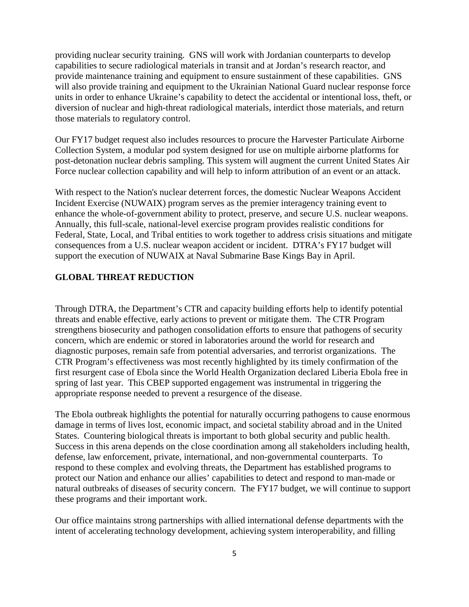providing nuclear security training. GNS will work with Jordanian counterparts to develop capabilities to secure radiological materials in transit and at Jordan's research reactor, and provide maintenance training and equipment to ensure sustainment of these capabilities. GNS will also provide training and equipment to the Ukrainian National Guard nuclear response force units in order to enhance Ukraine's capability to detect the accidental or intentional loss, theft, or diversion of nuclear and high-threat radiological materials, interdict those materials, and return those materials to regulatory control.

Our FY17 budget request also includes resources to procure the Harvester Particulate Airborne Collection System, a modular pod system designed for use on multiple airborne platforms for post-detonation nuclear debris sampling. This system will augment the current United States Air Force nuclear collection capability and will help to inform attribution of an event or an attack.

With respect to the Nation's nuclear deterrent forces, the domestic Nuclear Weapons Accident Incident Exercise (NUWAIX) program serves as the premier interagency training event to enhance the whole-of-government ability to protect, preserve, and secure U.S. nuclear weapons. Annually, this full-scale, national-level exercise program provides realistic conditions for Federal, State, Local, and Tribal entities to work together to address crisis situations and mitigate consequences from a U.S. nuclear weapon accident or incident. DTRA's FY17 budget will support the execution of NUWAIX at Naval Submarine Base Kings Bay in April.

#### **GLOBAL THREAT REDUCTION**

Through DTRA, the Department's CTR and capacity building efforts help to identify potential threats and enable effective, early actions to prevent or mitigate them. The CTR Program strengthens biosecurity and pathogen consolidation efforts to ensure that pathogens of security concern, which are endemic or stored in laboratories around the world for research and diagnostic purposes, remain safe from potential adversaries, and terrorist organizations. The CTR Program's effectiveness was most recently highlighted by its timely confirmation of the first resurgent case of Ebola since the World Health Organization declared Liberia Ebola free in spring of last year. This CBEP supported engagement was instrumental in triggering the appropriate response needed to prevent a resurgence of the disease.

The Ebola outbreak highlights the potential for naturally occurring pathogens to cause enormous damage in terms of lives lost, economic impact, and societal stability abroad and in the United States. Countering biological threats is important to both global security and public health. Success in this arena depends on the close coordination among all stakeholders including health, defense, law enforcement, private, international, and non-governmental counterparts. To respond to these complex and evolving threats, the Department has established programs to protect our Nation and enhance our allies' capabilities to detect and respond to man-made or natural outbreaks of diseases of security concern. The FY17 budget, we will continue to support these programs and their important work.

Our office maintains strong partnerships with allied international defense departments with the intent of accelerating technology development, achieving system interoperability, and filling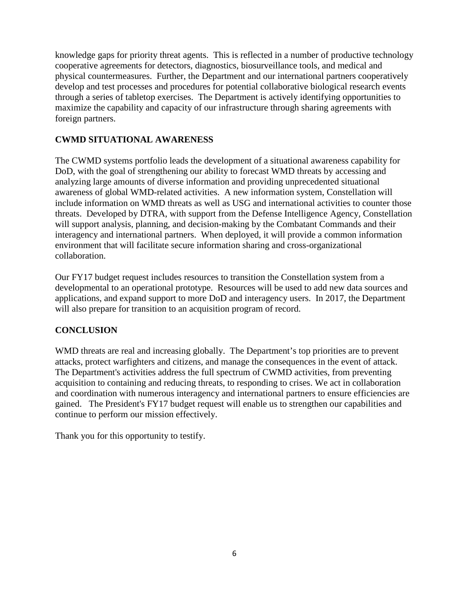knowledge gaps for priority threat agents. This is reflected in a number of productive technology cooperative agreements for detectors, diagnostics, biosurveillance tools, and medical and physical countermeasures. Further, the Department and our international partners cooperatively develop and test processes and procedures for potential collaborative biological research events through a series of tabletop exercises. The Department is actively identifying opportunities to maximize the capability and capacity of our infrastructure through sharing agreements with foreign partners.

# **CWMD SITUATIONAL AWARENESS**

The CWMD systems portfolio leads the development of a situational awareness capability for DoD, with the goal of strengthening our ability to forecast WMD threats by accessing and analyzing large amounts of diverse information and providing unprecedented situational awareness of global WMD-related activities. A new information system, Constellation will include information on WMD threats as well as USG and international activities to counter those threats. Developed by DTRA, with support from the Defense Intelligence Agency, Constellation will support analysis, planning, and decision-making by the Combatant Commands and their interagency and international partners. When deployed, it will provide a common information environment that will facilitate secure information sharing and cross-organizational collaboration.

Our FY17 budget request includes resources to transition the Constellation system from a developmental to an operational prototype. Resources will be used to add new data sources and applications, and expand support to more DoD and interagency users. In 2017, the Department will also prepare for transition to an acquisition program of record.

# **CONCLUSION**

WMD threats are real and increasing globally. The Department's top priorities are to prevent attacks, protect warfighters and citizens, and manage the consequences in the event of attack. The Department's activities address the full spectrum of CWMD activities, from preventing acquisition to containing and reducing threats, to responding to crises. We act in collaboration and coordination with numerous interagency and international partners to ensure efficiencies are gained. The President's FY17 budget request will enable us to strengthen our capabilities and continue to perform our mission effectively.

Thank you for this opportunity to testify.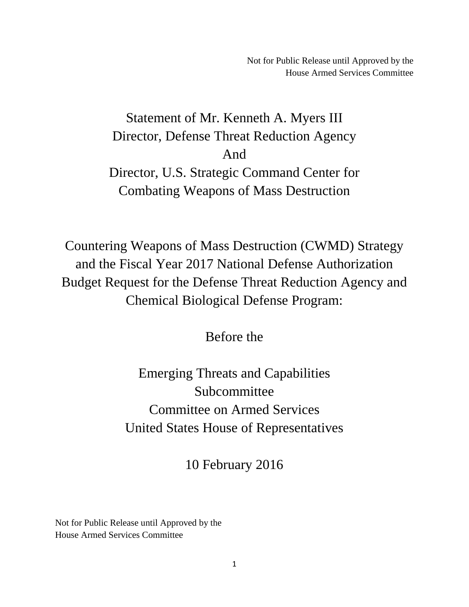Not for Public Release until Approved by the House Armed Services Committee

<span id="page-8-0"></span>Statement of Mr. Kenneth A. Myers III Director, Defense Threat Reduction Agency And Director, U.S. Strategic Command Center for Combating Weapons of Mass Destruction

Countering Weapons of Mass Destruction (CWMD) Strategy and the Fiscal Year 2017 National Defense Authorization Budget Request for the Defense Threat Reduction Agency and Chemical Biological Defense Program:

Before the

Emerging Threats and Capabilities Subcommittee Committee on Armed Services United States House of Representatives

10 February 2016

Not for Public Release until Approved by the House Armed Services Committee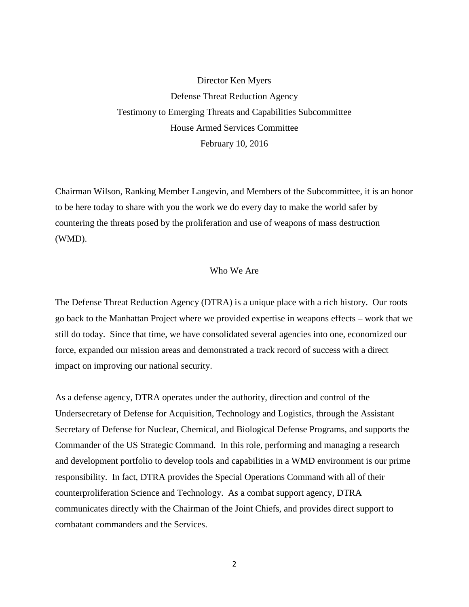Director Ken Myers Defense Threat Reduction Agency Testimony to Emerging Threats and Capabilities Subcommittee House Armed Services Committee February 10, 2016

Chairman Wilson, Ranking Member Langevin, and Members of the Subcommittee, it is an honor to be here today to share with you the work we do every day to make the world safer by countering the threats posed by the proliferation and use of weapons of mass destruction (WMD).

#### Who We Are

The Defense Threat Reduction Agency (DTRA) is a unique place with a rich history. Our roots go back to the Manhattan Project where we provided expertise in weapons effects – work that we still do today. Since that time, we have consolidated several agencies into one, economized our force, expanded our mission areas and demonstrated a track record of success with a direct impact on improving our national security.

As a defense agency, DTRA operates under the authority, direction and control of the Undersecretary of Defense for Acquisition, Technology and Logistics, through the Assistant Secretary of Defense for Nuclear, Chemical, and Biological Defense Programs, and supports the Commander of the US Strategic Command. In this role, performing and managing a research and development portfolio to develop tools and capabilities in a WMD environment is our prime responsibility. In fact, DTRA provides the Special Operations Command with all of their counterproliferation Science and Technology. As a combat support agency, DTRA communicates directly with the Chairman of the Joint Chiefs, and provides direct support to combatant commanders and the Services.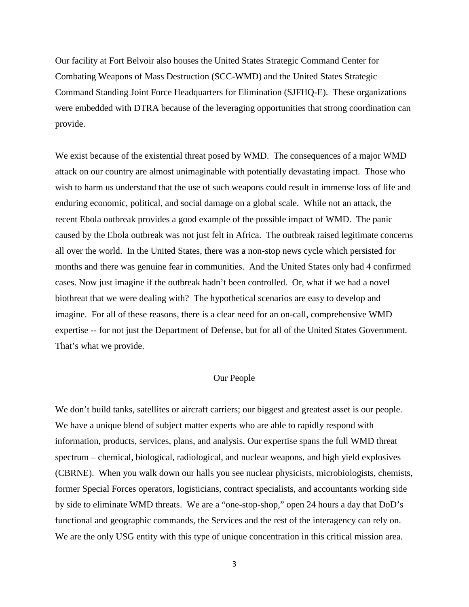Our facility at Fort Belvoir also houses the United States Strategic Command Center for Combating Weapons of Mass Destruction (SCC-WMD) and the United States Strategic Command Standing Joint Force Headquarters for Elimination (SJFHQ-E). These organizations were embedded with DTRA because of the leveraging opportunities that strong coordination can provide.

We exist because of the existential threat posed by WMD. The consequences of a major WMD attack on our country are almost unimaginable with potentially devastating impact. Those who wish to harm us understand that the use of such weapons could result in immense loss of life and enduring economic, political, and social damage on a global scale. While not an attack, the recent Ebola outbreak provides a good example of the possible impact of WMD. The panic caused by the Ebola outbreak was not just felt in Africa. The outbreak raised legitimate concerns all over the world. In the United States, there was a non-stop news cycle which persisted for months and there was genuine fear in communities. And the United States only had 4 confirmed cases. Now just imagine if the outbreak hadn't been controlled. Or, what if we had a novel biothreat that we were dealing with? The hypothetical scenarios are easy to develop and imagine. For all of these reasons, there is a clear need for an on-call, comprehensive WMD expertise -- for not just the Department of Defense, but for all of the United States Government. That's what we provide.

#### Our People

We don't build tanks, satellites or aircraft carriers; our biggest and greatest asset is our people. We have a unique blend of subject matter experts who are able to rapidly respond with information, products, services, plans, and analysis. Our expertise spans the full WMD threat spectrum – chemical, biological, radiological, and nuclear weapons, and high yield explosives (CBRNE). When you walk down our halls you see nuclear physicists, microbiologists, chemists, former Special Forces operators, logisticians, contract specialists, and accountants working side by side to eliminate WMD threats. We are a "one-stop-shop," open 24 hours a day that DoD's functional and geographic commands, the Services and the rest of the interagency can rely on. We are the only USG entity with this type of unique concentration in this critical mission area.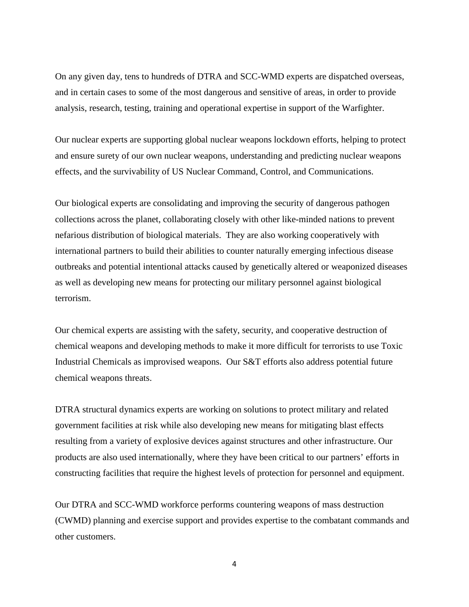On any given day, tens to hundreds of DTRA and SCC-WMD experts are dispatched overseas, and in certain cases to some of the most dangerous and sensitive of areas, in order to provide analysis, research, testing, training and operational expertise in support of the Warfighter.

Our nuclear experts are supporting global nuclear weapons lockdown efforts, helping to protect and ensure surety of our own nuclear weapons, understanding and predicting nuclear weapons effects, and the survivability of US Nuclear Command, Control, and Communications.

Our biological experts are consolidating and improving the security of dangerous pathogen collections across the planet, collaborating closely with other like-minded nations to prevent nefarious distribution of biological materials. They are also working cooperatively with international partners to build their abilities to counter naturally emerging infectious disease outbreaks and potential intentional attacks caused by genetically altered or weaponized diseases as well as developing new means for protecting our military personnel against biological terrorism.

Our chemical experts are assisting with the safety, security, and cooperative destruction of chemical weapons and developing methods to make it more difficult for terrorists to use Toxic Industrial Chemicals as improvised weapons. Our S&T efforts also address potential future chemical weapons threats.

DTRA structural dynamics experts are working on solutions to protect military and related government facilities at risk while also developing new means for mitigating blast effects resulting from a variety of explosive devices against structures and other infrastructure. Our products are also used internationally, where they have been critical to our partners' efforts in constructing facilities that require the highest levels of protection for personnel and equipment.

Our DTRA and SCC-WMD workforce performs countering weapons of mass destruction (CWMD) planning and exercise support and provides expertise to the combatant commands and other customers.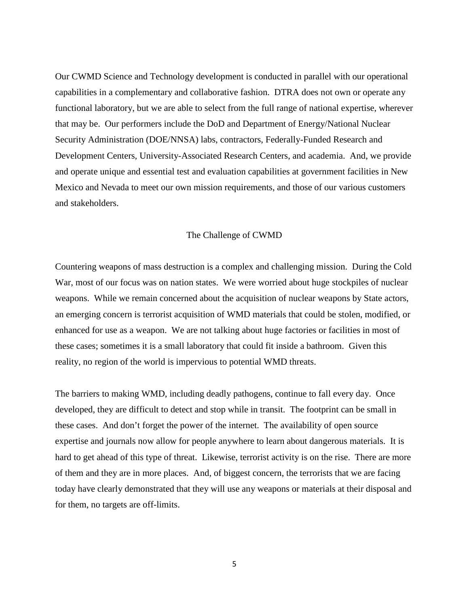Our CWMD Science and Technology development is conducted in parallel with our operational capabilities in a complementary and collaborative fashion. DTRA does not own or operate any functional laboratory, but we are able to select from the full range of national expertise, wherever that may be. Our performers include the DoD and Department of Energy/National Nuclear Security Administration (DOE/NNSA) labs, contractors, Federally-Funded Research and Development Centers, University-Associated Research Centers, and academia. And, we provide and operate unique and essential test and evaluation capabilities at government facilities in New Mexico and Nevada to meet our own mission requirements, and those of our various customers and stakeholders.

#### The Challenge of CWMD

Countering weapons of mass destruction is a complex and challenging mission. During the Cold War, most of our focus was on nation states. We were worried about huge stockpiles of nuclear weapons. While we remain concerned about the acquisition of nuclear weapons by State actors, an emerging concern is terrorist acquisition of WMD materials that could be stolen, modified, or enhanced for use as a weapon. We are not talking about huge factories or facilities in most of these cases; sometimes it is a small laboratory that could fit inside a bathroom. Given this reality, no region of the world is impervious to potential WMD threats.

The barriers to making WMD, including deadly pathogens, continue to fall every day. Once developed, they are difficult to detect and stop while in transit. The footprint can be small in these cases. And don't forget the power of the internet. The availability of open source expertise and journals now allow for people anywhere to learn about dangerous materials. It is hard to get ahead of this type of threat. Likewise, terrorist activity is on the rise. There are more of them and they are in more places. And, of biggest concern, the terrorists that we are facing today have clearly demonstrated that they will use any weapons or materials at their disposal and for them, no targets are off-limits.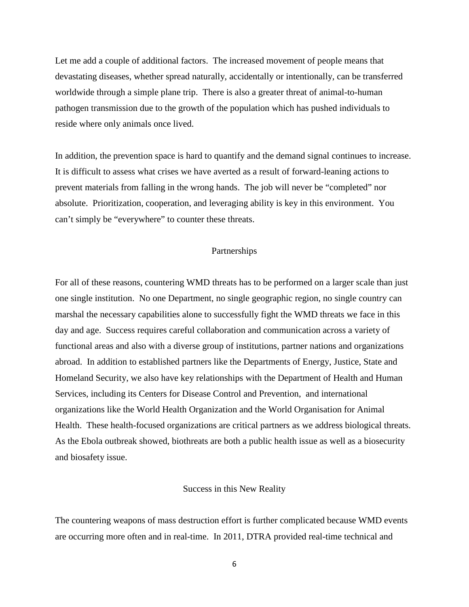Let me add a couple of additional factors. The increased movement of people means that devastating diseases, whether spread naturally, accidentally or intentionally, can be transferred worldwide through a simple plane trip. There is also a greater threat of animal-to-human pathogen transmission due to the growth of the population which has pushed individuals to reside where only animals once lived.

In addition, the prevention space is hard to quantify and the demand signal continues to increase. It is difficult to assess what crises we have averted as a result of forward-leaning actions to prevent materials from falling in the wrong hands. The job will never be "completed" nor absolute. Prioritization, cooperation, and leveraging ability is key in this environment. You can't simply be "everywhere" to counter these threats.

#### Partnerships

For all of these reasons, countering WMD threats has to be performed on a larger scale than just one single institution. No one Department, no single geographic region, no single country can marshal the necessary capabilities alone to successfully fight the WMD threats we face in this day and age. Success requires careful collaboration and communication across a variety of functional areas and also with a diverse group of institutions, partner nations and organizations abroad. In addition to established partners like the Departments of Energy, Justice, State and Homeland Security, we also have key relationships with the Department of Health and Human Services, including its Centers for Disease Control and Prevention, and international organizations like the World Health Organization and the World Organisation for Animal Health. These health-focused organizations are critical partners as we address biological threats. As the Ebola outbreak showed, biothreats are both a public health issue as well as a biosecurity and biosafety issue.

#### Success in this New Reality

The countering weapons of mass destruction effort is further complicated because WMD events are occurring more often and in real-time. In 2011, DTRA provided real-time technical and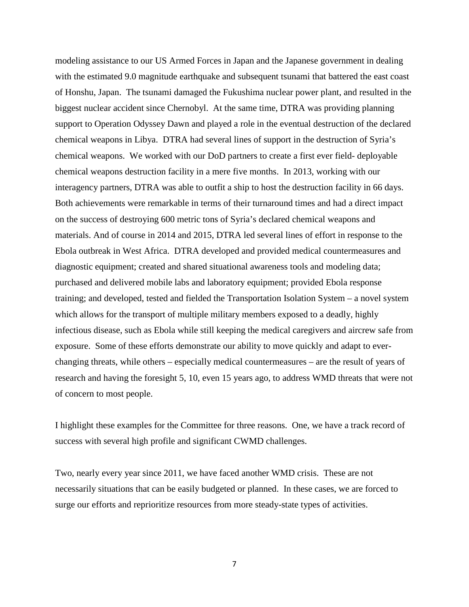modeling assistance to our US Armed Forces in Japan and the Japanese government in dealing with the estimated 9.0 magnitude earthquake and subsequent tsunami that battered the east coast of Honshu, Japan. The tsunami damaged the Fukushima nuclear power plant, and resulted in the biggest nuclear accident since Chernobyl. At the same time, DTRA was providing planning support to Operation Odyssey Dawn and played a role in the eventual destruction of the declared chemical weapons in Libya. DTRA had several lines of support in the destruction of Syria's chemical weapons. We worked with our DoD partners to create a first ever field- deployable chemical weapons destruction facility in a mere five months. In 2013, working with our interagency partners, DTRA was able to outfit a ship to host the destruction facility in 66 days. Both achievements were remarkable in terms of their turnaround times and had a direct impact on the success of destroying 600 metric tons of Syria's declared chemical weapons and materials. And of course in 2014 and 2015, DTRA led several lines of effort in response to the Ebola outbreak in West Africa. DTRA developed and provided medical countermeasures and diagnostic equipment; created and shared situational awareness tools and modeling data; purchased and delivered mobile labs and laboratory equipment; provided Ebola response training; and developed, tested and fielded the Transportation Isolation System – a novel system which allows for the transport of multiple military members exposed to a deadly, highly infectious disease, such as Ebola while still keeping the medical caregivers and aircrew safe from exposure. Some of these efforts demonstrate our ability to move quickly and adapt to everchanging threats, while others – especially medical countermeasures – are the result of years of research and having the foresight 5, 10, even 15 years ago, to address WMD threats that were not of concern to most people.

I highlight these examples for the Committee for three reasons. One, we have a track record of success with several high profile and significant CWMD challenges.

Two, nearly every year since 2011, we have faced another WMD crisis. These are not necessarily situations that can be easily budgeted or planned. In these cases, we are forced to surge our efforts and reprioritize resources from more steady-state types of activities.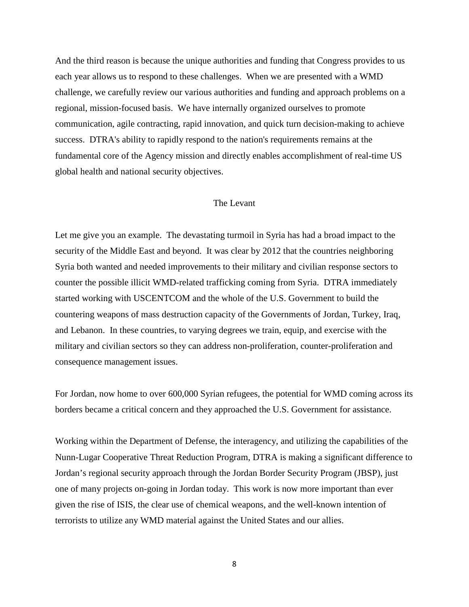And the third reason is because the unique authorities and funding that Congress provides to us each year allows us to respond to these challenges. When we are presented with a WMD challenge, we carefully review our various authorities and funding and approach problems on a regional, mission-focused basis. We have internally organized ourselves to promote communication, agile contracting, rapid innovation, and quick turn decision-making to achieve success. DTRA's ability to rapidly respond to the nation's requirements remains at the fundamental core of the Agency mission and directly enables accomplishment of real-time US global health and national security objectives.

#### The Levant

Let me give you an example. The devastating turmoil in Syria has had a broad impact to the security of the Middle East and beyond. It was clear by 2012 that the countries neighboring Syria both wanted and needed improvements to their military and civilian response sectors to counter the possible illicit WMD-related trafficking coming from Syria. DTRA immediately started working with USCENTCOM and the whole of the U.S. Government to build the countering weapons of mass destruction capacity of the Governments of Jordan, Turkey, Iraq, and Lebanon. In these countries, to varying degrees we train, equip, and exercise with the military and civilian sectors so they can address non-proliferation, counter-proliferation and consequence management issues.

For Jordan, now home to over 600,000 Syrian refugees, the potential for WMD coming across its borders became a critical concern and they approached the U.S. Government for assistance.

Working within the Department of Defense, the interagency, and utilizing the capabilities of the Nunn-Lugar Cooperative Threat Reduction Program, DTRA is making a significant difference to Jordan's regional security approach through the Jordan Border Security Program (JBSP), just one of many projects on-going in Jordan today. This work is now more important than ever given the rise of ISIS, the clear use of chemical weapons, and the well-known intention of terrorists to utilize any WMD material against the United States and our allies.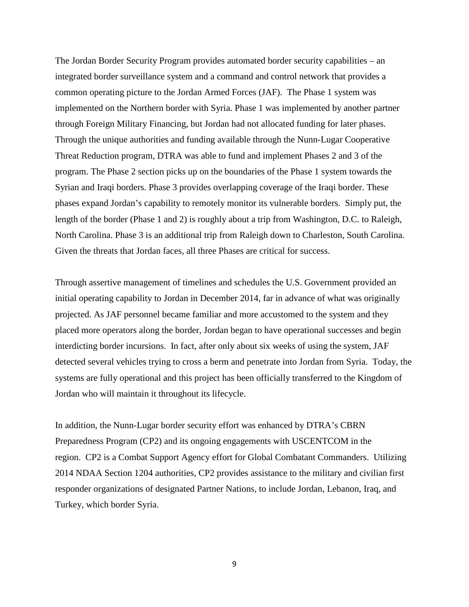The Jordan Border Security Program provides automated border security capabilities – an integrated border surveillance system and a command and control network that provides a common operating picture to the Jordan Armed Forces (JAF). The Phase 1 system was implemented on the Northern border with Syria. Phase 1 was implemented by another partner through Foreign Military Financing, but Jordan had not allocated funding for later phases. Through the unique authorities and funding available through the Nunn-Lugar Cooperative Threat Reduction program, DTRA was able to fund and implement Phases 2 and 3 of the program. The Phase 2 section picks up on the boundaries of the Phase 1 system towards the Syrian and Iraqi borders. Phase 3 provides overlapping coverage of the Iraqi border. These phases expand Jordan's capability to remotely monitor its vulnerable borders. Simply put, the length of the border (Phase 1 and 2) is roughly about a trip from Washington, D.C. to Raleigh, North Carolina. Phase 3 is an additional trip from Raleigh down to Charleston, South Carolina. Given the threats that Jordan faces, all three Phases are critical for success.

Through assertive management of timelines and schedules the U.S. Government provided an initial operating capability to Jordan in December 2014, far in advance of what was originally projected. As JAF personnel became familiar and more accustomed to the system and they placed more operators along the border, Jordan began to have operational successes and begin interdicting border incursions. In fact, after only about six weeks of using the system, JAF detected several vehicles trying to cross a berm and penetrate into Jordan from Syria. Today, the systems are fully operational and this project has been officially transferred to the Kingdom of Jordan who will maintain it throughout its lifecycle.

In addition, the Nunn-Lugar border security effort was enhanced by DTRA's CBRN Preparedness Program (CP2) and its ongoing engagements with USCENTCOM in the region. CP2 is a Combat Support Agency effort for Global Combatant Commanders. Utilizing 2014 NDAA Section 1204 authorities, CP2 provides assistance to the military and civilian first responder organizations of designated Partner Nations, to include Jordan, Lebanon, Iraq, and Turkey, which border Syria.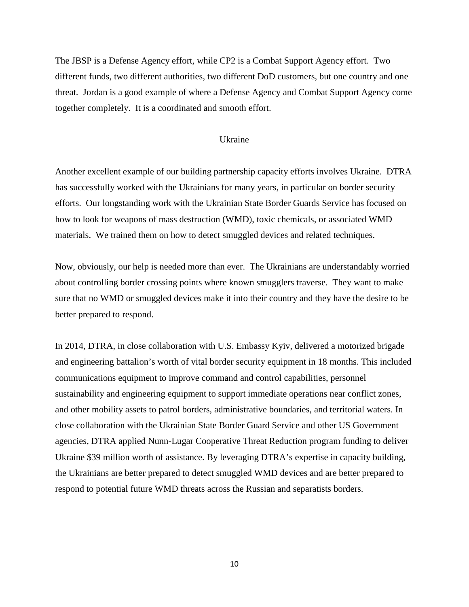The JBSP is a Defense Agency effort, while CP2 is a Combat Support Agency effort. Two different funds, two different authorities, two different DoD customers, but one country and one threat. Jordan is a good example of where a Defense Agency and Combat Support Agency come together completely. It is a coordinated and smooth effort.

#### Ukraine

Another excellent example of our building partnership capacity efforts involves Ukraine. DTRA has successfully worked with the Ukrainians for many years, in particular on border security efforts. Our longstanding work with the Ukrainian State Border Guards Service has focused on how to look for weapons of mass destruction (WMD), toxic chemicals, or associated WMD materials. We trained them on how to detect smuggled devices and related techniques.

Now, obviously, our help is needed more than ever. The Ukrainians are understandably worried about controlling border crossing points where known smugglers traverse. They want to make sure that no WMD or smuggled devices make it into their country and they have the desire to be better prepared to respond.

In 2014, DTRA, in close collaboration with U.S. Embassy Kyiv, delivered a motorized brigade and engineering battalion's worth of vital border security equipment in 18 months. This included communications equipment to improve command and control capabilities, personnel sustainability and engineering equipment to support immediate operations near conflict zones, and other mobility assets to patrol borders, administrative boundaries, and territorial waters. In close collaboration with the Ukrainian State Border Guard Service and other US Government agencies, DTRA applied Nunn-Lugar Cooperative Threat Reduction program funding to deliver Ukraine \$39 million worth of assistance. By leveraging DTRA's expertise in capacity building, the Ukrainians are better prepared to detect smuggled WMD devices and are better prepared to respond to potential future WMD threats across the Russian and separatists borders.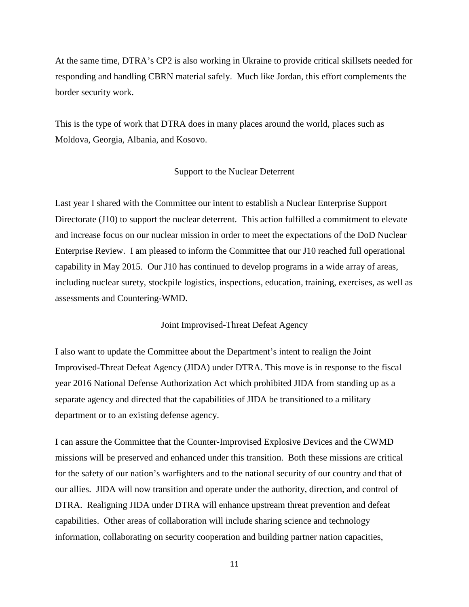At the same time, DTRA's CP2 is also working in Ukraine to provide critical skillsets needed for responding and handling CBRN material safely. Much like Jordan, this effort complements the border security work.

This is the type of work that DTRA does in many places around the world, places such as Moldova, Georgia, Albania, and Kosovo.

#### Support to the Nuclear Deterrent

Last year I shared with the Committee our intent to establish a Nuclear Enterprise Support Directorate (J10) to support the nuclear deterrent. This action fulfilled a commitment to elevate and increase focus on our nuclear mission in order to meet the expectations of the DoD Nuclear Enterprise Review. I am pleased to inform the Committee that our J10 reached full operational capability in May 2015. Our J10 has continued to develop programs in a wide array of areas, including nuclear surety, stockpile logistics, inspections, education, training, exercises, as well as assessments and Countering-WMD.

#### Joint Improvised-Threat Defeat Agency

I also want to update the Committee about the Department's intent to realign the Joint Improvised-Threat Defeat Agency (JIDA) under DTRA. This move is in response to the fiscal year 2016 National Defense Authorization Act which prohibited JIDA from standing up as a separate agency and directed that the capabilities of JIDA be transitioned to a military department or to an existing defense agency.

I can assure the Committee that the Counter-Improvised Explosive Devices and the CWMD missions will be preserved and enhanced under this transition. Both these missions are critical for the safety of our nation's warfighters and to the national security of our country and that of our allies. JIDA will now transition and operate under the authority, direction, and control of DTRA. Realigning JIDA under DTRA will enhance upstream threat prevention and defeat capabilities. Other areas of collaboration will include sharing science and technology information, collaborating on security cooperation and building partner nation capacities,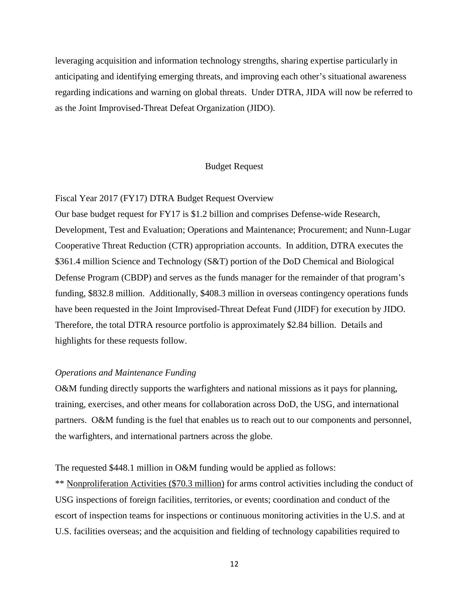leveraging acquisition and information technology strengths, sharing expertise particularly in anticipating and identifying emerging threats, and improving each other's situational awareness regarding indications and warning on global threats. Under DTRA, JIDA will now be referred to as the Joint Improvised-Threat Defeat Organization (JIDO).

#### Budget Request

#### Fiscal Year 2017 (FY17) DTRA Budget Request Overview

Our base budget request for FY17 is \$1.2 billion and comprises Defense-wide Research, Development, Test and Evaluation; Operations and Maintenance; Procurement; and Nunn-Lugar Cooperative Threat Reduction (CTR) appropriation accounts. In addition, DTRA executes the \$361.4 million Science and Technology (S&T) portion of the DoD Chemical and Biological Defense Program (CBDP) and serves as the funds manager for the remainder of that program's funding, \$832.8 million. Additionally, \$408.3 million in overseas contingency operations funds have been requested in the Joint Improvised-Threat Defeat Fund (JIDF) for execution by JIDO. Therefore, the total DTRA resource portfolio is approximately \$2.84 billion. Details and highlights for these requests follow.

#### *Operations and Maintenance Funding*

O&M funding directly supports the warfighters and national missions as it pays for planning, training, exercises, and other means for collaboration across DoD, the USG, and international partners. O&M funding is the fuel that enables us to reach out to our components and personnel, the warfighters, and international partners across the globe.

The requested \$448.1 million in O&M funding would be applied as follows:

\*\* Nonproliferation Activities (\$70.3 million) for arms control activities including the conduct of USG inspections of foreign facilities, territories, or events; coordination and conduct of the escort of inspection teams for inspections or continuous monitoring activities in the U.S. and at U.S. facilities overseas; and the acquisition and fielding of technology capabilities required to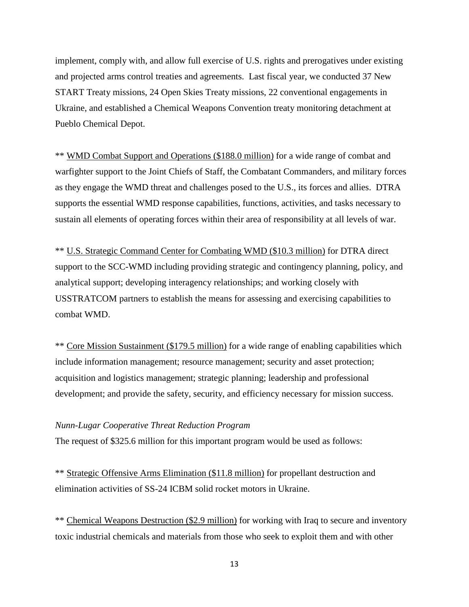implement, comply with, and allow full exercise of U.S. rights and prerogatives under existing and projected arms control treaties and agreements. Last fiscal year, we conducted 37 New START Treaty missions, 24 Open Skies Treaty missions, 22 conventional engagements in Ukraine, and established a Chemical Weapons Convention treaty monitoring detachment at Pueblo Chemical Depot.

\*\* WMD Combat Support and Operations (\$188.0 million) for a wide range of combat and warfighter support to the Joint Chiefs of Staff, the Combatant Commanders, and military forces as they engage the WMD threat and challenges posed to the U.S., its forces and allies. DTRA supports the essential WMD response capabilities, functions, activities, and tasks necessary to sustain all elements of operating forces within their area of responsibility at all levels of war.

\*\* U.S. Strategic Command Center for Combating WMD (\$10.3 million) for DTRA direct support to the SCC-WMD including providing strategic and contingency planning, policy, and analytical support; developing interagency relationships; and working closely with USSTRATCOM partners to establish the means for assessing and exercising capabilities to combat WMD.

\*\* Core Mission Sustainment (\$179.5 million) for a wide range of enabling capabilities which include information management; resource management; security and asset protection; acquisition and logistics management; strategic planning; leadership and professional development; and provide the safety, security, and efficiency necessary for mission success.

#### *Nunn-Lugar Cooperative Threat Reduction Program*

The request of \$325.6 million for this important program would be used as follows:

\*\* Strategic Offensive Arms Elimination (\$11.8 million) for propellant destruction and elimination activities of SS-24 ICBM solid rocket motors in Ukraine.

\*\* Chemical Weapons Destruction (\$2.9 million) for working with Iraq to secure and inventory toxic industrial chemicals and materials from those who seek to exploit them and with other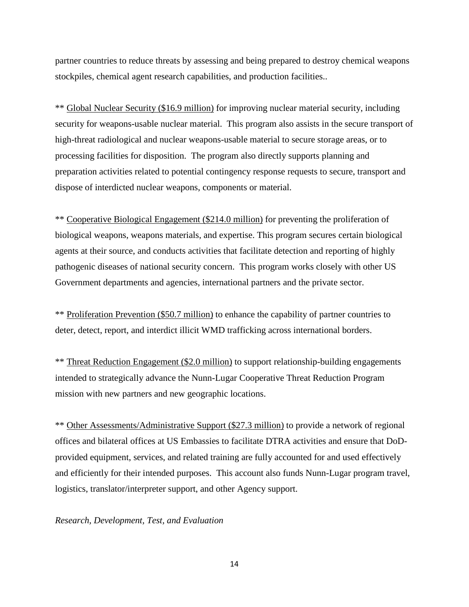partner countries to reduce threats by assessing and being prepared to destroy chemical weapons stockpiles, chemical agent research capabilities, and production facilities..

\*\* Global Nuclear Security (\$16.9 million) for improving nuclear material security, including security for weapons-usable nuclear material. This program also assists in the secure transport of high-threat radiological and nuclear weapons-usable material to secure storage areas, or to processing facilities for disposition. The program also directly supports planning and preparation activities related to potential contingency response requests to secure, transport and dispose of interdicted nuclear weapons, components or material.

\*\* Cooperative Biological Engagement (\$214.0 million) for preventing the proliferation of biological weapons, weapons materials, and expertise. This program secures certain biological agents at their source, and conducts activities that facilitate detection and reporting of highly pathogenic diseases of national security concern. This program works closely with other US Government departments and agencies, international partners and the private sector.

\*\* Proliferation Prevention (\$50.7 million) to enhance the capability of partner countries to deter, detect, report, and interdict illicit WMD trafficking across international borders.

\*\* Threat Reduction Engagement (\$2.0 million) to support relationship-building engagements intended to strategically advance the Nunn-Lugar Cooperative Threat Reduction Program mission with new partners and new geographic locations.

\*\* Other Assessments/Administrative Support (\$27.3 million) to provide a network of regional offices and bilateral offices at US Embassies to facilitate DTRA activities and ensure that DoDprovided equipment, services, and related training are fully accounted for and used effectively and efficiently for their intended purposes. This account also funds Nunn-Lugar program travel, logistics, translator/interpreter support, and other Agency support.

#### *Research, Development, Test, and Evaluation*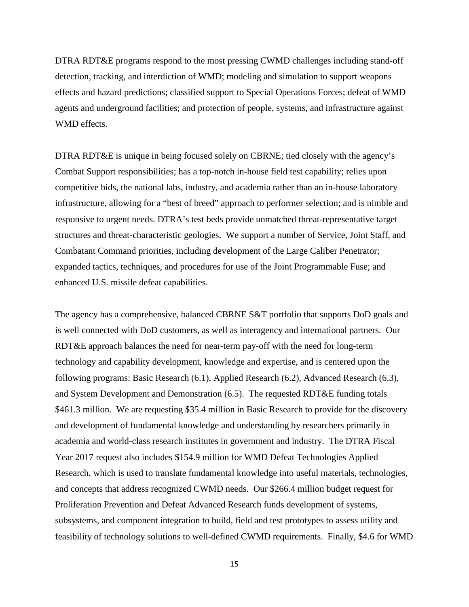DTRA RDT&E programs respond to the most pressing CWMD challenges including stand-off detection, tracking, and interdiction of WMD; modeling and simulation to support weapons effects and hazard predictions; classified support to Special Operations Forces; defeat of WMD agents and underground facilities; and protection of people, systems, and infrastructure against WMD effects.

DTRA RDT&E is unique in being focused solely on CBRNE; tied closely with the agency's Combat Support responsibilities; has a top-notch in-house field test capability; relies upon competitive bids, the national labs, industry, and academia rather than an in-house laboratory infrastructure, allowing for a "best of breed" approach to performer selection; and is nimble and responsive to urgent needs. DTRA's test beds provide unmatched threat-representative target structures and threat-characteristic geologies. We support a number of Service, Joint Staff, and Combatant Command priorities, including development of the Large Caliber Penetrator; expanded tactics, techniques, and procedures for use of the Joint Programmable Fuse; and enhanced U.S. missile defeat capabilities.

The agency has a comprehensive, balanced CBRNE S&T portfolio that supports DoD goals and is well connected with DoD customers, as well as interagency and international partners. Our RDT&E approach balances the need for near-term pay-off with the need for long-term technology and capability development, knowledge and expertise, and is centered upon the following programs: Basic Research (6.1), Applied Research (6.2), Advanced Research (6.3), and System Development and Demonstration (6.5). The requested RDT&E funding totals \$461.3 million. We are requesting \$35.4 million in Basic Research to provide for the discovery and development of fundamental knowledge and understanding by researchers primarily in academia and world-class research institutes in government and industry. The DTRA Fiscal Year 2017 request also includes \$154.9 million for WMD Defeat Technologies Applied Research, which is used to translate fundamental knowledge into useful materials, technologies, and concepts that address recognized CWMD needs. Our \$266.4 million budget request for Proliferation Prevention and Defeat Advanced Research funds development of systems, subsystems, and component integration to build, field and test prototypes to assess utility and feasibility of technology solutions to well-defined CWMD requirements. Finally, \$4.6 for WMD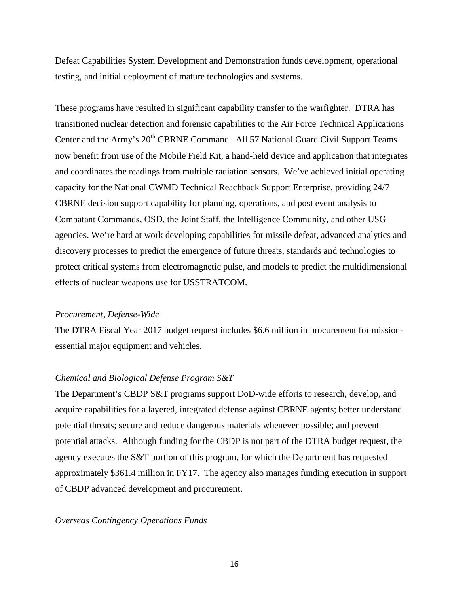Defeat Capabilities System Development and Demonstration funds development, operational testing, and initial deployment of mature technologies and systems.

These programs have resulted in significant capability transfer to the warfighter. DTRA has transitioned nuclear detection and forensic capabilities to the Air Force Technical Applications Center and the Army's 20<sup>th</sup> CBRNE Command. All 57 National Guard Civil Support Teams now benefit from use of the Mobile Field Kit, a hand-held device and application that integrates and coordinates the readings from multiple radiation sensors. We've achieved initial operating capacity for the National CWMD Technical Reachback Support Enterprise, providing 24/7 CBRNE decision support capability for planning, operations, and post event analysis to Combatant Commands, OSD, the Joint Staff, the Intelligence Community, and other USG agencies. We're hard at work developing capabilities for missile defeat, advanced analytics and discovery processes to predict the emergence of future threats, standards and technologies to protect critical systems from electromagnetic pulse, and models to predict the multidimensional effects of nuclear weapons use for USSTRATCOM.

#### *Procurement, Defense-Wide*

The DTRA Fiscal Year 2017 budget request includes \$6.6 million in procurement for missionessential major equipment and vehicles.

#### *Chemical and Biological Defense Program S&T*

The Department's CBDP S&T programs support DoD-wide efforts to research, develop, and acquire capabilities for a layered, integrated defense against CBRNE agents; better understand potential threats; secure and reduce dangerous materials whenever possible; and prevent potential attacks. Although funding for the CBDP is not part of the DTRA budget request, the agency executes the S&T portion of this program, for which the Department has requested approximately \$361.4 million in FY17. The agency also manages funding execution in support of CBDP advanced development and procurement.

#### *Overseas Contingency Operations Funds*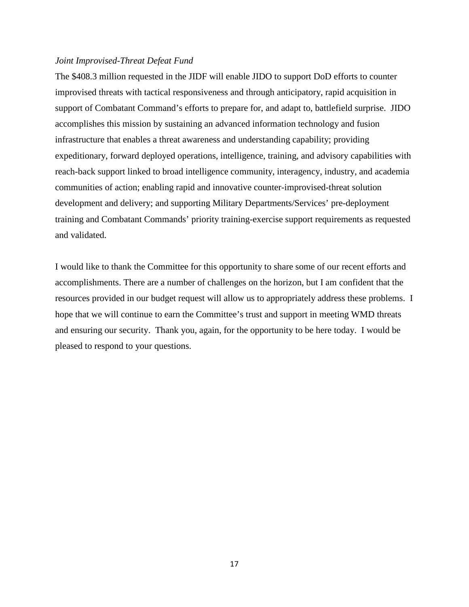#### *Joint Improvised-Threat Defeat Fund*

The \$408.3 million requested in the JIDF will enable JIDO to support DoD efforts to counter improvised threats with tactical responsiveness and through anticipatory, rapid acquisition in support of Combatant Command's efforts to prepare for, and adapt to, battlefield surprise. JIDO accomplishes this mission by sustaining an advanced information technology and fusion infrastructure that enables a threat awareness and understanding capability; providing expeditionary, forward deployed operations, intelligence, training, and advisory capabilities with reach-back support linked to broad intelligence community, interagency, industry, and academia communities of action; enabling rapid and innovative counter-improvised-threat solution development and delivery; and supporting Military Departments/Services' pre-deployment training and Combatant Commands' priority training-exercise support requirements as requested and validated.

I would like to thank the Committee for this opportunity to share some of our recent efforts and accomplishments. There are a number of challenges on the horizon, but I am confident that the resources provided in our budget request will allow us to appropriately address these problems. I hope that we will continue to earn the Committee's trust and support in meeting WMD threats and ensuring our security. Thank you, again, for the opportunity to be here today. I would be pleased to respond to your questions.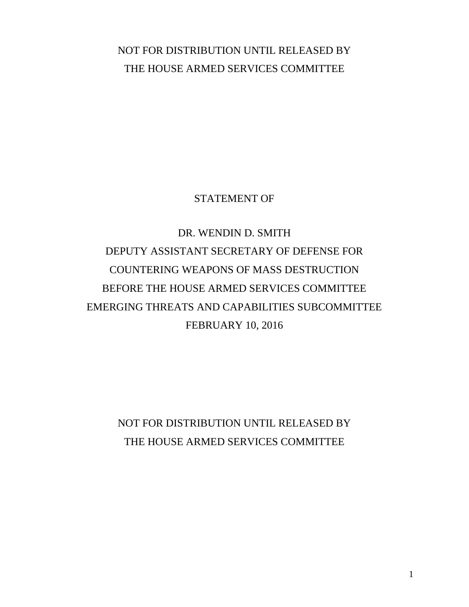# <span id="page-25-0"></span>NOT FOR DISTRIBUTION UNTIL RELEASED BY THE HOUSE ARMED SERVICES COMMITTEE

# STATEMENT OF

# DR. WENDIN D. SMITH DEPUTY ASSISTANT SECRETARY OF DEFENSE FOR COUNTERING WEAPONS OF MASS DESTRUCTION BEFORE THE HOUSE ARMED SERVICES COMMITTEE EMERGING THREATS AND CAPABILITIES SUBCOMMITTEE FEBRUARY 10, 2016

NOT FOR DISTRIBUTION UNTIL RELEASED BY THE HOUSE ARMED SERVICES COMMITTEE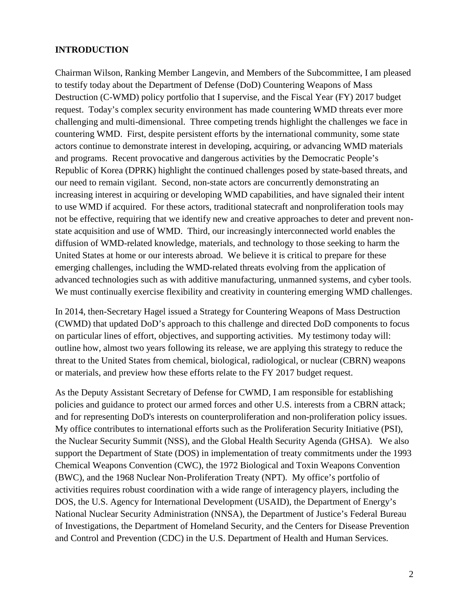#### **INTRODUCTION**

Chairman Wilson, Ranking Member Langevin, and Members of the Subcommittee, I am pleased to testify today about the Department of Defense (DoD) Countering Weapons of Mass Destruction (C-WMD) policy portfolio that I supervise, and the Fiscal Year (FY) 2017 budget request. Today's complex security environment has made countering WMD threats ever more challenging and multi-dimensional. Three competing trends highlight the challenges we face in countering WMD. First, despite persistent efforts by the international community, some state actors continue to demonstrate interest in developing, acquiring, or advancing WMD materials and programs. Recent provocative and dangerous activities by the Democratic People's Republic of Korea (DPRK) highlight the continued challenges posed by state-based threats, and our need to remain vigilant. Second, non-state actors are concurrently demonstrating an increasing interest in acquiring or developing WMD capabilities, and have signaled their intent to use WMD if acquired. For these actors, traditional statecraft and nonproliferation tools may not be effective, requiring that we identify new and creative approaches to deter and prevent nonstate acquisition and use of WMD. Third, our increasingly interconnected world enables the diffusion of WMD-related knowledge, materials, and technology to those seeking to harm the United States at home or our interests abroad. We believe it is critical to prepare for these emerging challenges, including the WMD-related threats evolving from the application of advanced technologies such as with additive manufacturing, unmanned systems, and cyber tools. We must continually exercise flexibility and creativity in countering emerging WMD challenges.

In 2014, then-Secretary Hagel issued a Strategy for Countering Weapons of Mass Destruction (CWMD) that updated DoD's approach to this challenge and directed DoD components to focus on particular lines of effort, objectives, and supporting activities. My testimony today will: outline how, almost two years following its release, we are applying this strategy to reduce the threat to the United States from chemical, biological, radiological, or nuclear (CBRN) weapons or materials, and preview how these efforts relate to the FY 2017 budget request.

As the Deputy Assistant Secretary of Defense for CWMD, I am responsible for establishing policies and guidance to protect our armed forces and other U.S. interests from a CBRN attack; and for representing DoD's interests on counterproliferation and non-proliferation policy issues. My office contributes to international efforts such as the Proliferation Security Initiative (PSI), the Nuclear Security Summit (NSS), and the Global Health Security Agenda (GHSA). We also support the Department of State (DOS) in implementation of treaty commitments under the 1993 Chemical Weapons Convention (CWC), the 1972 Biological and Toxin Weapons Convention (BWC), and the 1968 Nuclear Non-Proliferation Treaty (NPT). My office's portfolio of activities requires robust coordination with a wide range of interagency players, including the DOS, the U.S. Agency for International Development (USAID), the Department of Energy's National Nuclear Security Administration (NNSA), the Department of Justice's Federal Bureau of Investigations, the Department of Homeland Security, and the Centers for Disease Prevention and Control and Prevention (CDC) in the U.S. Department of Health and Human Services.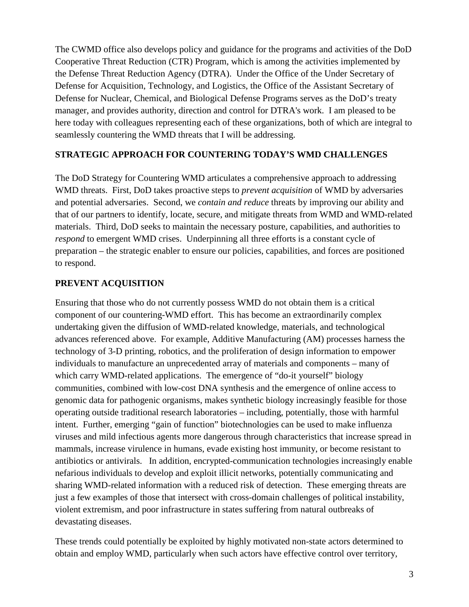The CWMD office also develops policy and guidance for the programs and activities of the DoD Cooperative Threat Reduction (CTR) Program, which is among the activities implemented by the Defense Threat Reduction Agency (DTRA). Under the Office of the Under Secretary of Defense for Acquisition, Technology, and Logistics, the Office of the Assistant Secretary of Defense for Nuclear, Chemical, and Biological Defense Programs serves as the DoD's treaty manager, and provides authority, direction and control for DTRA's work. I am pleased to be here today with colleagues representing each of these organizations, both of which are integral to seamlessly countering the WMD threats that I will be addressing.

# **STRATEGIC APPROACH FOR COUNTERING TODAY'S WMD CHALLENGES**

The DoD Strategy for Countering WMD articulates a comprehensive approach to addressing WMD threats. First, DoD takes proactive steps to *prevent acquisition* of WMD by adversaries and potential adversaries. Second, we *contain and reduce* threats by improving our ability and that of our partners to identify, locate, secure, and mitigate threats from WMD and WMD-related materials. Third, DoD seeks to maintain the necessary posture, capabilities, and authorities to *respond* to emergent WMD crises. Underpinning all three efforts is a constant cycle of preparation – the strategic enabler to ensure our policies, capabilities, and forces are positioned to respond.

# **PREVENT ACQUISITION**

Ensuring that those who do not currently possess WMD do not obtain them is a critical component of our countering-WMD effort. This has become an extraordinarily complex undertaking given the diffusion of WMD-related knowledge, materials, and technological advances referenced above. For example, Additive Manufacturing (AM) processes harness the technology of 3-D printing, robotics, and the proliferation of design information to empower individuals to manufacture an unprecedented array of materials and components – many of which carry WMD-related applications. The emergence of "do-it yourself" biology communities, combined with low-cost DNA synthesis and the emergence of online access to genomic data for pathogenic organisms, makes synthetic biology increasingly feasible for those operating outside traditional research laboratories – including, potentially, those with harmful intent. Further, emerging "gain of function" biotechnologies can be used to make influenza viruses and mild infectious agents more dangerous through characteristics that increase spread in mammals, increase virulence in humans, evade existing host immunity, or become resistant to antibiotics or antivirals. In addition, encrypted-communication technologies increasingly enable nefarious individuals to develop and exploit illicit networks, potentially communicating and sharing WMD-related information with a reduced risk of detection. These emerging threats are just a few examples of those that intersect with cross-domain challenges of political instability, violent extremism, and poor infrastructure in states suffering from natural outbreaks of devastating diseases.

These trends could potentially be exploited by highly motivated non-state actors determined to obtain and employ WMD, particularly when such actors have effective control over territory,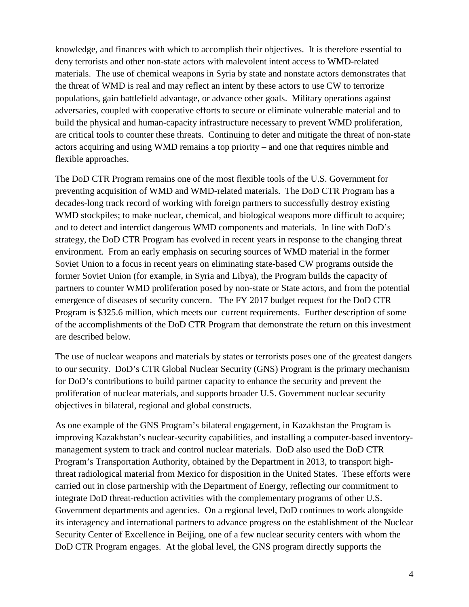knowledge, and finances with which to accomplish their objectives. It is therefore essential to deny terrorists and other non-state actors with malevolent intent access to WMD-related materials. The use of chemical weapons in Syria by state and nonstate actors demonstrates that the threat of WMD is real and may reflect an intent by these actors to use CW to terrorize populations, gain battlefield advantage, or advance other goals. Military operations against adversaries, coupled with cooperative efforts to secure or eliminate vulnerable material and to build the physical and human-capacity infrastructure necessary to prevent WMD proliferation, are critical tools to counter these threats. Continuing to deter and mitigate the threat of non-state actors acquiring and using WMD remains a top priority – and one that requires nimble and flexible approaches.

The DoD CTR Program remains one of the most flexible tools of the U.S. Government for preventing acquisition of WMD and WMD-related materials. The DoD CTR Program has a decades-long track record of working with foreign partners to successfully destroy existing WMD stockpiles; to make nuclear, chemical, and biological weapons more difficult to acquire; and to detect and interdict dangerous WMD components and materials. In line with DoD's strategy, the DoD CTR Program has evolved in recent years in response to the changing threat environment. From an early emphasis on securing sources of WMD material in the former Soviet Union to a focus in recent years on eliminating state-based CW programs outside the former Soviet Union (for example, in Syria and Libya), the Program builds the capacity of partners to counter WMD proliferation posed by non-state or State actors, and from the potential emergence of diseases of security concern. The FY 2017 budget request for the DoD CTR Program is \$325.6 million, which meets our current requirements. Further description of some of the accomplishments of the DoD CTR Program that demonstrate the return on this investment are described below.

The use of nuclear weapons and materials by states or terrorists poses one of the greatest dangers to our security. DoD's CTR Global Nuclear Security (GNS) Program is the primary mechanism for DoD's contributions to build partner capacity to enhance the security and prevent the proliferation of nuclear materials, and supports broader U.S. Government nuclear security objectives in bilateral, regional and global constructs.

As one example of the GNS Program's bilateral engagement, in Kazakhstan the Program is improving Kazakhstan's nuclear-security capabilities, and installing a computer-based inventorymanagement system to track and control nuclear materials. DoD also used the DoD CTR Program's Transportation Authority, obtained by the Department in 2013, to transport highthreat radiological material from Mexico for disposition in the United States. These efforts were carried out in close partnership with the Department of Energy, reflecting our commitment to integrate DoD threat-reduction activities with the complementary programs of other U.S. Government departments and agencies. On a regional level, DoD continues to work alongside its interagency and international partners to advance progress on the establishment of the Nuclear Security Center of Excellence in Beijing, one of a few nuclear security centers with whom the DoD CTR Program engages. At the global level, the GNS program directly supports the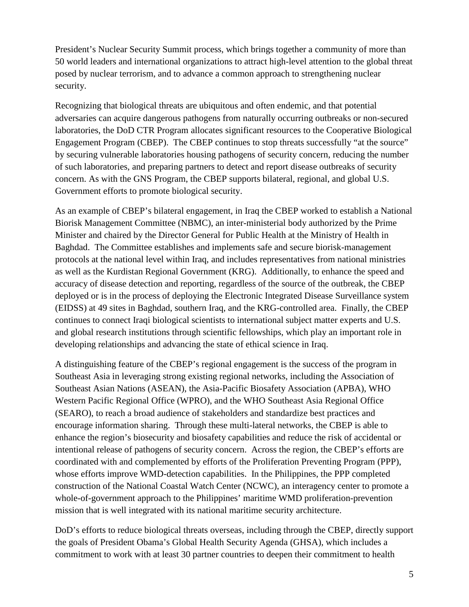President's Nuclear Security Summit process, which brings together a community of more than 50 world leaders and international organizations to attract high-level attention to the global threat posed by nuclear terrorism, and to advance a common approach to strengthening nuclear security.

Recognizing that biological threats are ubiquitous and often endemic, and that potential adversaries can acquire dangerous pathogens from naturally occurring outbreaks or non-secured laboratories, the DoD CTR Program allocates significant resources to the Cooperative Biological Engagement Program (CBEP). The CBEP continues to stop threats successfully "at the source" by securing vulnerable laboratories housing pathogens of security concern, reducing the number of such laboratories, and preparing partners to detect and report disease outbreaks of security concern. As with the GNS Program, the CBEP supports bilateral, regional, and global U.S. Government efforts to promote biological security.

As an example of CBEP's bilateral engagement, in Iraq the CBEP worked to establish a National Biorisk Management Committee (NBMC), an inter-ministerial body authorized by the Prime Minister and chaired by the Director General for Public Health at the Ministry of Health in Baghdad. The Committee establishes and implements safe and secure biorisk-management protocols at the national level within Iraq, and includes representatives from national ministries as well as the Kurdistan Regional Government (KRG). Additionally, to enhance the speed and accuracy of disease detection and reporting, regardless of the source of the outbreak, the CBEP deployed or is in the process of deploying the Electronic Integrated Disease Surveillance system (EIDSS) at 49 sites in Baghdad, southern Iraq, and the KRG-controlled area. Finally, the CBEP continues to connect Iraqi biological scientists to international subject matter experts and U.S. and global research institutions through scientific fellowships, which play an important role in developing relationships and advancing the state of ethical science in Iraq.

A distinguishing feature of the CBEP's regional engagement is the success of the program in Southeast Asia in leveraging strong existing regional networks, including the Association of Southeast Asian Nations (ASEAN), the Asia-Pacific Biosafety Association (APBA), WHO Western Pacific Regional Office (WPRO), and the WHO Southeast Asia Regional Office (SEARO), to reach a broad audience of stakeholders and standardize best practices and encourage information sharing. Through these multi-lateral networks, the CBEP is able to enhance the region's biosecurity and biosafety capabilities and reduce the risk of accidental or intentional release of pathogens of security concern. Across the region, the CBEP's efforts are coordinated with and complemented by efforts of the Proliferation Preventing Program (PPP), whose efforts improve WMD-detection capabilities. In the Philippines, the PPP completed construction of the National Coastal Watch Center (NCWC), an interagency center to promote a whole-of-government approach to the Philippines' maritime WMD proliferation-prevention mission that is well integrated with its national maritime security architecture.

DoD's efforts to reduce biological threats overseas, including through the CBEP, directly support the goals of President Obama's Global Health Security Agenda (GHSA), which includes a commitment to work with at least 30 partner countries to deepen their commitment to health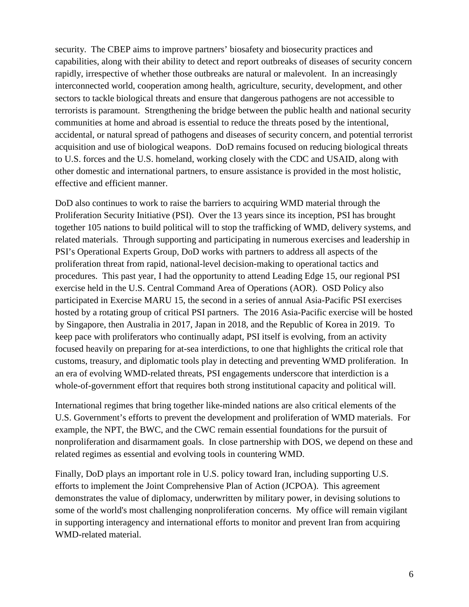security. The CBEP aims to improve partners' biosafety and biosecurity practices and capabilities, along with their ability to detect and report outbreaks of diseases of security concern rapidly, irrespective of whether those outbreaks are natural or malevolent. In an increasingly interconnected world, cooperation among health, agriculture, security, development, and other sectors to tackle biological threats and ensure that dangerous pathogens are not accessible to terrorists is paramount. Strengthening the bridge between the public health and national security communities at home and abroad is essential to reduce the threats posed by the intentional, accidental, or natural spread of pathogens and diseases of security concern, and potential terrorist acquisition and use of biological weapons. DoD remains focused on reducing biological threats to U.S. forces and the U.S. homeland, working closely with the CDC and USAID, along with other domestic and international partners, to ensure assistance is provided in the most holistic, effective and efficient manner.

DoD also continues to work to raise the barriers to acquiring WMD material through the Proliferation Security Initiative (PSI). Over the 13 years since its inception, PSI has brought together 105 nations to build political will to stop the trafficking of WMD, delivery systems, and related materials. Through supporting and participating in numerous exercises and leadership in PSI's Operational Experts Group, DoD works with partners to address all aspects of the proliferation threat from rapid, national-level decision-making to operational tactics and procedures. This past year, I had the opportunity to attend Leading Edge 15, our regional PSI exercise held in the U.S. Central Command Area of Operations (AOR). OSD Policy also participated in Exercise MARU 15, the second in a series of annual Asia-Pacific PSI exercises hosted by a rotating group of critical PSI partners. The 2016 Asia-Pacific exercise will be hosted by Singapore, then Australia in 2017, Japan in 2018, and the Republic of Korea in 2019. To keep pace with proliferators who continually adapt, PSI itself is evolving, from an activity focused heavily on preparing for at-sea interdictions, to one that highlights the critical role that customs, treasury, and diplomatic tools play in detecting and preventing WMD proliferation. In an era of evolving WMD-related threats, PSI engagements underscore that interdiction is a whole-of-government effort that requires both strong institutional capacity and political will.

International regimes that bring together like-minded nations are also critical elements of the U.S. Government's efforts to prevent the development and proliferation of WMD materials. For example, the NPT, the BWC, and the CWC remain essential foundations for the pursuit of nonproliferation and disarmament goals. In close partnership with DOS, we depend on these and related regimes as essential and evolving tools in countering WMD.

Finally, DoD plays an important role in U.S. policy toward Iran, including supporting U.S. efforts to implement the Joint Comprehensive Plan of Action (JCPOA). This agreement demonstrates the value of diplomacy, underwritten by military power, in devising solutions to some of the world's most challenging nonproliferation concerns. My office will remain vigilant in supporting interagency and international efforts to monitor and prevent Iran from acquiring WMD-related material.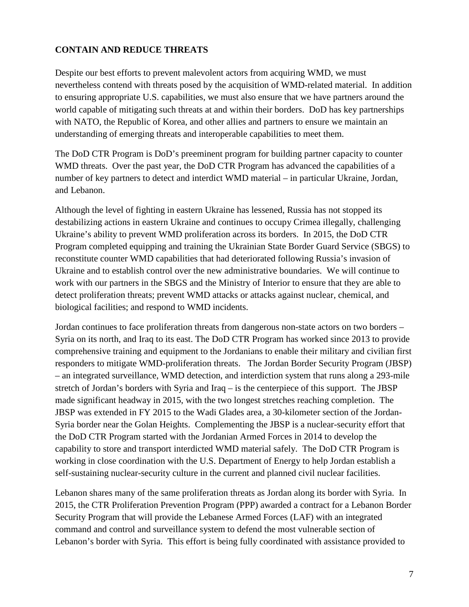# **CONTAIN AND REDUCE THREATS**

Despite our best efforts to prevent malevolent actors from acquiring WMD, we must nevertheless contend with threats posed by the acquisition of WMD-related material. In addition to ensuring appropriate U.S. capabilities, we must also ensure that we have partners around the world capable of mitigating such threats at and within their borders. DoD has key partnerships with NATO, the Republic of Korea, and other allies and partners to ensure we maintain an understanding of emerging threats and interoperable capabilities to meet them.

The DoD CTR Program is DoD's preeminent program for building partner capacity to counter WMD threats. Over the past year, the DoD CTR Program has advanced the capabilities of a number of key partners to detect and interdict WMD material – in particular Ukraine, Jordan, and Lebanon.

Although the level of fighting in eastern Ukraine has lessened, Russia has not stopped its destabilizing actions in eastern Ukraine and continues to occupy Crimea illegally, challenging Ukraine's ability to prevent WMD proliferation across its borders. In 2015, the DoD CTR Program completed equipping and training the Ukrainian State Border Guard Service (SBGS) to reconstitute counter WMD capabilities that had deteriorated following Russia's invasion of Ukraine and to establish control over the new administrative boundaries. We will continue to work with our partners in the SBGS and the Ministry of Interior to ensure that they are able to detect proliferation threats; prevent WMD attacks or attacks against nuclear, chemical, and biological facilities; and respond to WMD incidents.

Jordan continues to face proliferation threats from dangerous non-state actors on two borders – Syria on its north, and Iraq to its east. The DoD CTR Program has worked since 2013 to provide comprehensive training and equipment to the Jordanians to enable their military and civilian first responders to mitigate WMD-proliferation threats. The Jordan Border Security Program (JBSP) – an integrated surveillance, WMD detection, and interdiction system that runs along a 293-mile stretch of Jordan's borders with Syria and Iraq – is the centerpiece of this support. The JBSP made significant headway in 2015, with the two longest stretches reaching completion. The JBSP was extended in FY 2015 to the Wadi Glades area, a 30-kilometer section of the Jordan-Syria border near the Golan Heights. Complementing the JBSP is a nuclear-security effort that the DoD CTR Program started with the Jordanian Armed Forces in 2014 to develop the capability to store and transport interdicted WMD material safely. The DoD CTR Program is working in close coordination with the U.S. Department of Energy to help Jordan establish a self-sustaining nuclear-security culture in the current and planned civil nuclear facilities.

Lebanon shares many of the same proliferation threats as Jordan along its border with Syria. In 2015, the CTR Proliferation Prevention Program (PPP) awarded a contract for a Lebanon Border Security Program that will provide the Lebanese Armed Forces (LAF) with an integrated command and control and surveillance system to defend the most vulnerable section of Lebanon's border with Syria. This effort is being fully coordinated with assistance provided to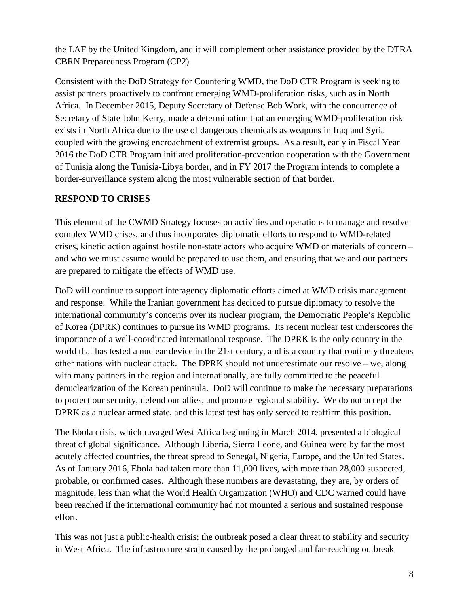the LAF by the United Kingdom, and it will complement other assistance provided by the DTRA CBRN Preparedness Program (CP2).

Consistent with the DoD Strategy for Countering WMD, the DoD CTR Program is seeking to assist partners proactively to confront emerging WMD-proliferation risks, such as in North Africa. In December 2015, Deputy Secretary of Defense Bob Work, with the concurrence of Secretary of State John Kerry, made a determination that an emerging WMD-proliferation risk exists in North Africa due to the use of dangerous chemicals as weapons in Iraq and Syria coupled with the growing encroachment of extremist groups. As a result, early in Fiscal Year 2016 the DoD CTR Program initiated proliferation-prevention cooperation with the Government of Tunisia along the Tunisia-Libya border, and in FY 2017 the Program intends to complete a border-surveillance system along the most vulnerable section of that border.

# **RESPOND TO CRISES**

This element of the CWMD Strategy focuses on activities and operations to manage and resolve complex WMD crises, and thus incorporates diplomatic efforts to respond to WMD-related crises, kinetic action against hostile non-state actors who acquire WMD or materials of concern – and who we must assume would be prepared to use them, and ensuring that we and our partners are prepared to mitigate the effects of WMD use.

DoD will continue to support interagency diplomatic efforts aimed at WMD crisis management and response. While the Iranian government has decided to pursue diplomacy to resolve the international community's concerns over its nuclear program, the Democratic People's Republic of Korea (DPRK) continues to pursue its WMD programs. Its recent nuclear test underscores the importance of a well-coordinated international response. The DPRK is the only country in the world that has tested a nuclear device in the 21st century, and is a country that routinely threatens other nations with nuclear attack. The DPRK should not underestimate our resolve – we, along with many partners in the region and internationally, are fully committed to the peaceful denuclearization of the Korean peninsula. DoD will continue to make the necessary preparations to protect our security, defend our allies, and promote regional stability. We do not accept the DPRK as a nuclear armed state, and this latest test has only served to reaffirm this position.

The Ebola crisis, which ravaged West Africa beginning in March 2014, presented a biological threat of global significance. Although Liberia, Sierra Leone, and Guinea were by far the most acutely affected countries, the threat spread to Senegal, Nigeria, Europe, and the United States. As of January 2016, Ebola had taken more than 11,000 lives, with more than 28,000 suspected, probable, or confirmed cases. Although these numbers are devastating, they are, by orders of magnitude, less than what the World Health Organization (WHO) and CDC warned could have been reached if the international community had not mounted a serious and sustained response effort.

This was not just a public-health crisis; the outbreak posed a clear threat to stability and security in West Africa. The infrastructure strain caused by the prolonged and far-reaching outbreak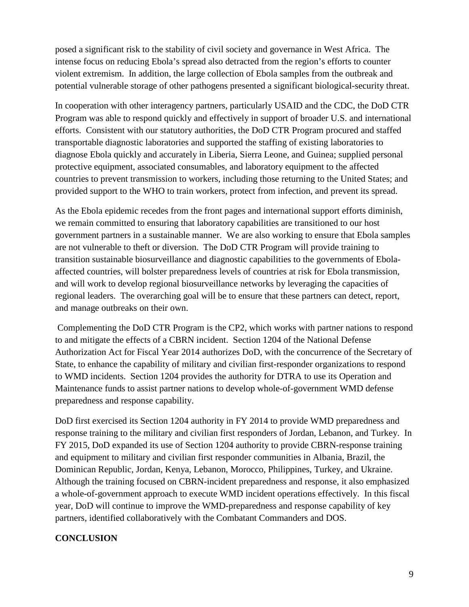posed a significant risk to the stability of civil society and governance in West Africa. The intense focus on reducing Ebola's spread also detracted from the region's efforts to counter violent extremism. In addition, the large collection of Ebola samples from the outbreak and potential vulnerable storage of other pathogens presented a significant biological-security threat.

In cooperation with other interagency partners, particularly USAID and the CDC, the DoD CTR Program was able to respond quickly and effectively in support of broader U.S. and international efforts. Consistent with our statutory authorities, the DoD CTR Program procured and staffed transportable diagnostic laboratories and supported the staffing of existing laboratories to diagnose Ebola quickly and accurately in Liberia, Sierra Leone, and Guinea; supplied personal protective equipment, associated consumables, and laboratory equipment to the affected countries to prevent transmission to workers, including those returning to the United States; and provided support to the WHO to train workers, protect from infection, and prevent its spread.

As the Ebola epidemic recedes from the front pages and international support efforts diminish, we remain committed to ensuring that laboratory capabilities are transitioned to our host government partners in a sustainable manner. We are also working to ensure that Ebola samples are not vulnerable to theft or diversion. The DoD CTR Program will provide training to transition sustainable biosurveillance and diagnostic capabilities to the governments of Ebolaaffected countries, will bolster preparedness levels of countries at risk for Ebola transmission, and will work to develop regional biosurveillance networks by leveraging the capacities of regional leaders. The overarching goal will be to ensure that these partners can detect, report, and manage outbreaks on their own.

Complementing the DoD CTR Program is the CP2, which works with partner nations to respond to and mitigate the effects of a CBRN incident. Section 1204 of the National Defense Authorization Act for Fiscal Year 2014 authorizes DoD, with the concurrence of the Secretary of State, to enhance the capability of military and civilian first-responder organizations to respond to WMD incidents. Section 1204 provides the authority for DTRA to use its Operation and Maintenance funds to assist partner nations to develop whole-of-government WMD defense preparedness and response capability.

DoD first exercised its Section 1204 authority in FY 2014 to provide WMD preparedness and response training to the military and civilian first responders of Jordan, Lebanon, and Turkey. In FY 2015, DoD expanded its use of Section 1204 authority to provide CBRN-response training and equipment to military and civilian first responder communities in Albania, Brazil, the Dominican Republic, Jordan, Kenya, Lebanon, Morocco, Philippines, Turkey, and Ukraine. Although the training focused on CBRN-incident preparedness and response, it also emphasized a whole-of-government approach to execute WMD incident operations effectively. In this fiscal year, DoD will continue to improve the WMD-preparedness and response capability of key partners, identified collaboratively with the Combatant Commanders and DOS.

# **CONCLUSION**